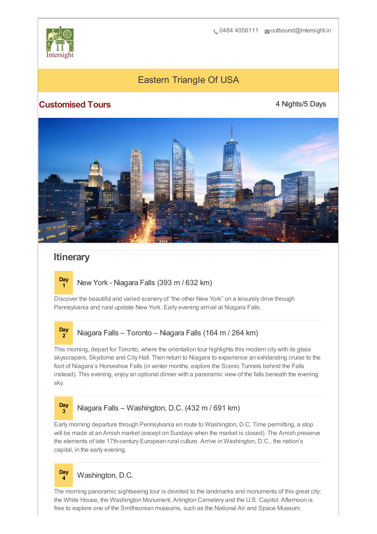

# Eastern Triangle Of USA

## **Customised Tours**

4 Nights/5 Days



## **Itinerary**

**Day**

**Day <sup>1</sup>** New York - Niagara Falls (393 m / 632 km)

Discover the beautiful and varied scenery of "the other New York" on a leisurely drive through Pennsylvania and rural upstate New York. Early evening arrival at Niagara Falls.

#### **Day <sup>2</sup>** Niagara Falls – Toronto – Niagara Falls (164 m / 264 km)

This morning, depart for Toronto, where the orientation tour highlights this modern city with its glass skyscrapers, Skydome and City Hall. Then return to Niagara to experience an exhilarating cruise to the foot of Niagara's Horseshoe Falls (in winter months, explore the Scenic Tunnels behind the Falls instead). This evening, enjoy an optional dinner with a panoramic view of the falls beneath the evening sky.

### **<sup>3</sup>** Niagara Falls – Washington, D.C. (432 m / 691 km)

Early morning departure through Pennsylvania en route to Washington, D.C. Time permitting, a stop will be made at an Amish market (except on Sundays when the market is closed). The Amish preserve the elements of late 17th-century European rural culture. Arrive in Washington, D.C., the nation's capital, in the early evening.



The morning panoramic sightseeing tour is devoted to the landmarks and monuments of this great city: the White House, the Washington Monument, Arlington Cemetery and the U.S. Capitol. Afternoon is free to explore one of the Smithsonian museums, such as the National Air and Space Museum.